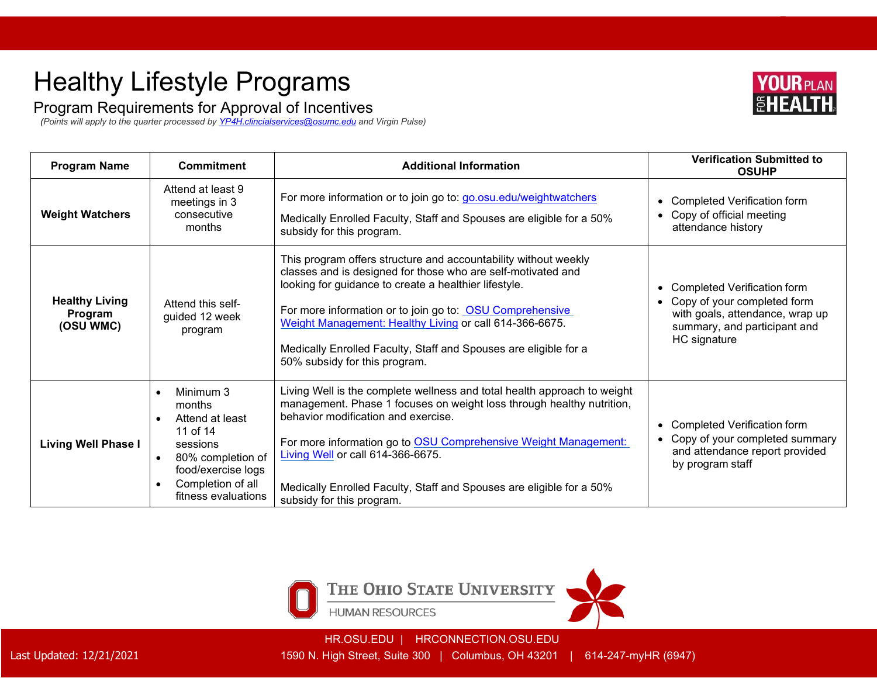## Healthy Lifestyle Programs

Program Requirements for Approval of Incentives

*(Points will apply to the quarter processed by [YP4H.clincialservices@osumc.edu](mailto:YP4H.clincialservices@osumc.edu) and Virgin Pulse)* 

| <b>Program Name</b>                           | <b>Commitment</b>                                                                                                                                                  | <b>Additional Information</b>                                                                                                                                                                                                                                                                                                                                                                                        | <b>Verification Submitted to</b><br><b>OSUHP</b>                                                                                                                |
|-----------------------------------------------|--------------------------------------------------------------------------------------------------------------------------------------------------------------------|----------------------------------------------------------------------------------------------------------------------------------------------------------------------------------------------------------------------------------------------------------------------------------------------------------------------------------------------------------------------------------------------------------------------|-----------------------------------------------------------------------------------------------------------------------------------------------------------------|
| <b>Weight Watchers</b>                        | Attend at least 9<br>meetings in 3<br>consecutive<br>months                                                                                                        | For more information or to join go to: go.osu.edu/weightwatchers<br>Medically Enrolled Faculty, Staff and Spouses are eligible for a 50%<br>subsidy for this program.                                                                                                                                                                                                                                                | Completed Verification form<br>$\bullet$<br>Copy of official meeting<br>$\bullet$<br>attendance history                                                         |
| <b>Healthy Living</b><br>Program<br>(OSU WMC) | Attend this self-<br>guided 12 week<br>program                                                                                                                     | This program offers structure and accountability without weekly<br>classes and is designed for those who are self-motivated and<br>looking for guidance to create a healthier lifestyle.<br>For more information or to join go to: OSU Comprehensive<br>Weight Management: Healthy Living or call 614-366-6675.<br>Medically Enrolled Faculty, Staff and Spouses are eligible for a<br>50% subsidy for this program. | Completed Verification form<br>٠<br>Copy of your completed form<br>$\bullet$<br>with goals, attendance, wrap up<br>summary, and participant and<br>HC signature |
| <b>Living Well Phase I</b>                    | Minimum 3<br>months<br>Attend at least<br>11 of 14<br>sessions<br>80% completion of<br>$\bullet$<br>food/exercise logs<br>Completion of all<br>fitness evaluations | Living Well is the complete wellness and total health approach to weight<br>management. Phase 1 focuses on weight loss through healthy nutrition,<br>behavior modification and exercise.<br>For more information go to OSU Comprehensive Weight Management:<br>Living Well or call 614-366-6675.<br>Medically Enrolled Faculty, Staff and Spouses are eligible for a 50%<br>subsidy for this program.                | <b>Completed Verification form</b><br>$\bullet$<br>Copy of your completed summary<br>$\bullet$<br>and attendance report provided<br>by program staff            |



HR.OSU.EDU | HRCONNECTION.OSU.EDU

Last Updated: 12/21/2021 1590 N. High Street, Suite 300 | Columbus, OH 43201 | 614-247-myHR (6947)

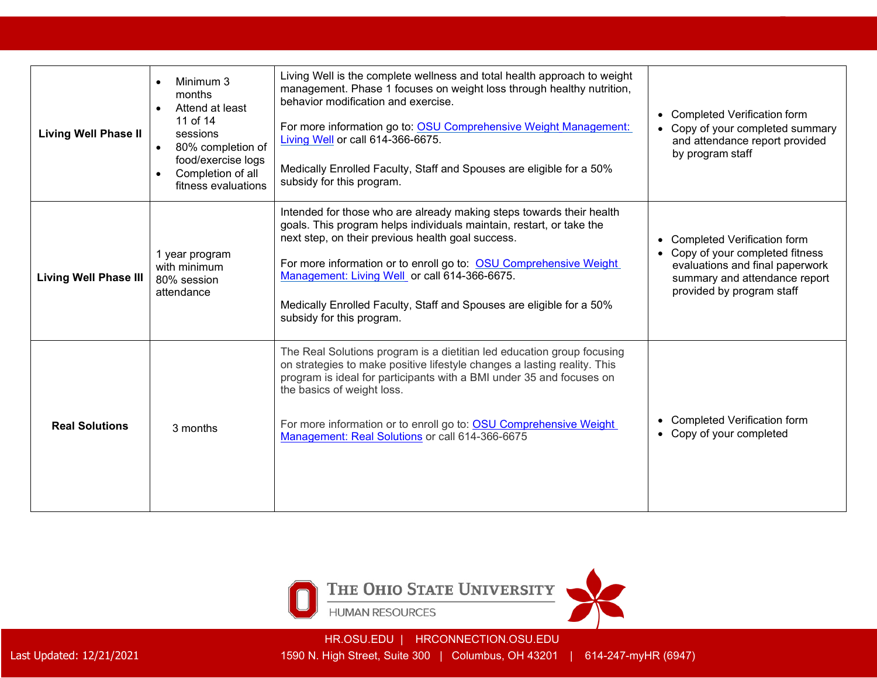| <b>Living Well Phase II</b>  | Minimum 3<br>months<br>Attend at least<br>11 of 14<br>sessions<br>80% completion of<br>$\bullet$<br>food/exercise logs<br>Completion of all<br>fitness evaluations | Living Well is the complete wellness and total health approach to weight<br>management. Phase 1 focuses on weight loss through healthy nutrition,<br>behavior modification and exercise.<br>For more information go to: OSU Comprehensive Weight Management:<br>Living Well or call 614-366-6675.<br>Medically Enrolled Faculty, Staff and Spouses are eligible for a 50%<br>subsidy for this program.                       | <b>Completed Verification form</b><br>$\bullet$<br>Copy of your completed summary<br>and attendance report provided<br>by program staff                               |
|------------------------------|--------------------------------------------------------------------------------------------------------------------------------------------------------------------|------------------------------------------------------------------------------------------------------------------------------------------------------------------------------------------------------------------------------------------------------------------------------------------------------------------------------------------------------------------------------------------------------------------------------|-----------------------------------------------------------------------------------------------------------------------------------------------------------------------|
| <b>Living Well Phase III</b> | 1 year program<br>with minimum<br>80% session<br>attendance                                                                                                        | Intended for those who are already making steps towards their health<br>goals. This program helps individuals maintain, restart, or take the<br>next step, on their previous health goal success.<br>For more information or to enroll go to: OSU Comprehensive Weight<br>Management: Living Well or call 614-366-6675.<br>Medically Enrolled Faculty, Staff and Spouses are eligible for a 50%<br>subsidy for this program. | <b>Completed Verification form</b><br>Copy of your completed fitness<br>evaluations and final paperwork<br>summary and attendance report<br>provided by program staff |
| <b>Real Solutions</b>        | 3 months                                                                                                                                                           | The Real Solutions program is a dietitian led education group focusing<br>on strategies to make positive lifestyle changes a lasting reality. This<br>program is ideal for participants with a BMI under 35 and focuses on<br>the basics of weight loss.<br>For more information or to enroll go to: OSU Comprehensive Weight<br>Management: Real Solutions or call 614-366-6675                                             | <b>Completed Verification form</b><br>Copy of your completed<br>$\bullet$                                                                                             |



HR.OSU.EDU | HRCONNECTION.OSU.EDU

Last Updated: 12/21/2021 1590 N. High Street, Suite 300 | Columbus, OH 43201 | 614-247-myHR (6947)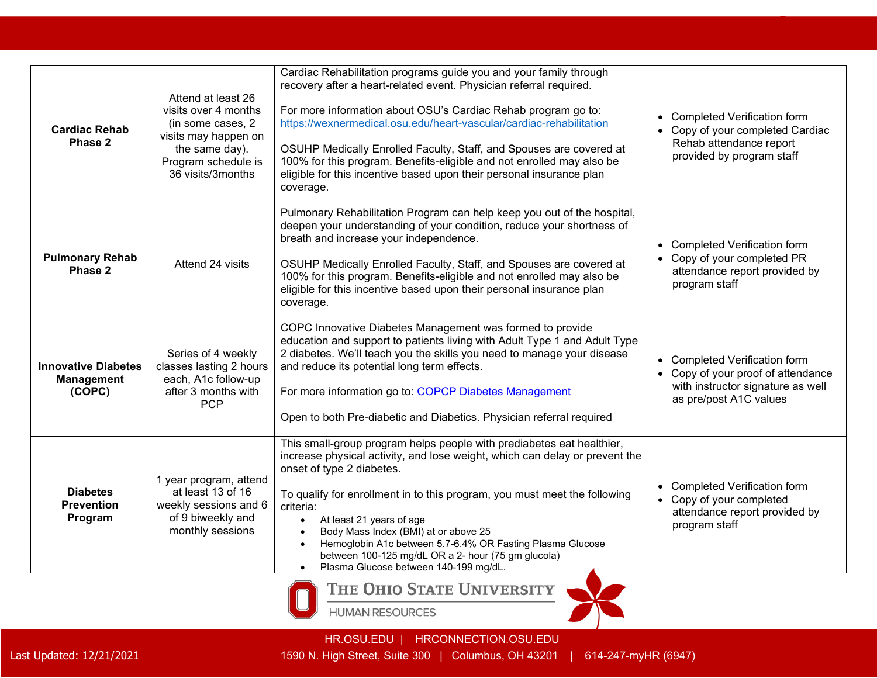| <b>Cardiac Rehab</b><br>Phase 2                           | Attend at least 26<br>visits over 4 months<br>(in some cases, 2)<br>visits may happen on<br>the same day).<br>Program schedule is<br>36 visits/3months | Cardiac Rehabilitation programs guide you and your family through<br>recovery after a heart-related event. Physician referral required.<br>For more information about OSU's Cardiac Rehab program go to:<br>https://wexnermedical.osu.edu/heart-vascular/cardiac-rehabilitation<br>OSUHP Medically Enrolled Faculty, Staff, and Spouses are covered at<br>100% for this program. Benefits-eligible and not enrolled may also be<br>eligible for this incentive based upon their personal insurance plan<br>coverage.                               | • Completed Verification form<br>• Copy of your completed Cardiac<br>Rehab attendance report<br>provided by program staff          |
|-----------------------------------------------------------|--------------------------------------------------------------------------------------------------------------------------------------------------------|----------------------------------------------------------------------------------------------------------------------------------------------------------------------------------------------------------------------------------------------------------------------------------------------------------------------------------------------------------------------------------------------------------------------------------------------------------------------------------------------------------------------------------------------------|------------------------------------------------------------------------------------------------------------------------------------|
| <b>Pulmonary Rehab</b><br>Phase 2                         | Attend 24 visits                                                                                                                                       | Pulmonary Rehabilitation Program can help keep you out of the hospital,<br>deepen your understanding of your condition, reduce your shortness of<br>breath and increase your independence.<br>OSUHP Medically Enrolled Faculty, Staff, and Spouses are covered at<br>100% for this program. Benefits-eligible and not enrolled may also be<br>eligible for this incentive based upon their personal insurance plan<br>coverage.                                                                                                                    | • Completed Verification form<br>• Copy of your completed PR<br>attendance report provided by<br>program staff                     |
| <b>Innovative Diabetes</b><br><b>Management</b><br>(COPC) | Series of 4 weekly<br>classes lasting 2 hours<br>each, A1c follow-up<br>after 3 months with<br><b>PCP</b>                                              | COPC Innovative Diabetes Management was formed to provide<br>education and support to patients living with Adult Type 1 and Adult Type<br>2 diabetes. We'll teach you the skills you need to manage your disease<br>and reduce its potential long term effects.<br>For more information go to: COPCP Diabetes Management<br>Open to both Pre-diabetic and Diabetics. Physician referral required                                                                                                                                                   | • Completed Verification form<br>• Copy of your proof of attendance<br>with instructor signature as well<br>as pre/post A1C values |
| <b>Diabetes</b><br><b>Prevention</b><br>Program           | 1 year program, attend<br>at least 13 of 16<br>weekly sessions and 6<br>of 9 biweekly and<br>monthly sessions                                          | This small-group program helps people with prediabetes eat healthier,<br>increase physical activity, and lose weight, which can delay or prevent the<br>onset of type 2 diabetes.<br>To qualify for enrollment in to this program, you must meet the following<br>criteria:<br>At least 21 years of age<br>$\bullet$<br>Body Mass Index (BMI) at or above 25<br>Hemoglobin A1c between 5.7-6.4% OR Fasting Plasma Glucose<br>$\bullet$<br>between 100-125 mg/dL OR a 2- hour (75 gm glucola)<br>Plasma Glucose between 140-199 mg/dL.<br>$\bullet$ | • Completed Verification form<br>• Copy of your completed<br>attendance report provided by<br>program staff                        |

**HUMAN RESOURCES**